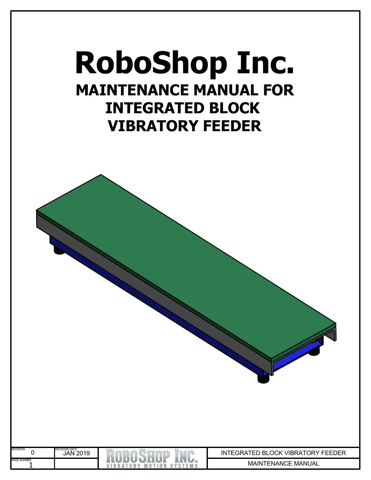# **RoboShop Inc. MAINTENANCE MANUAL FOR INTEGRATED BLOCK VIBRATORY FEEDER**

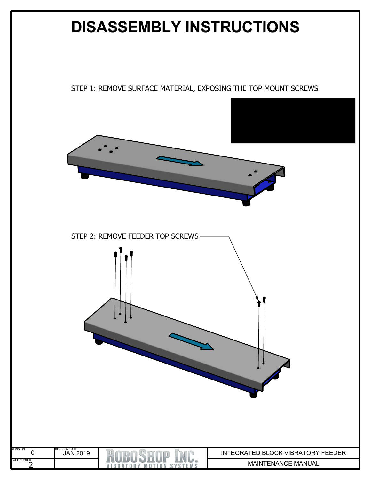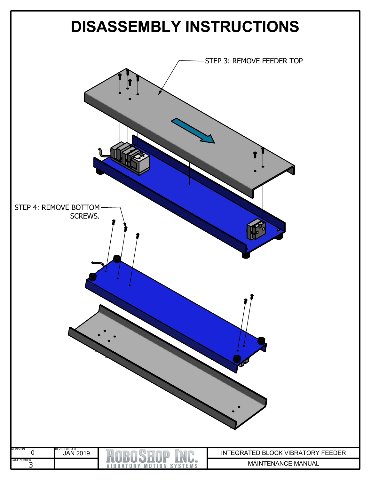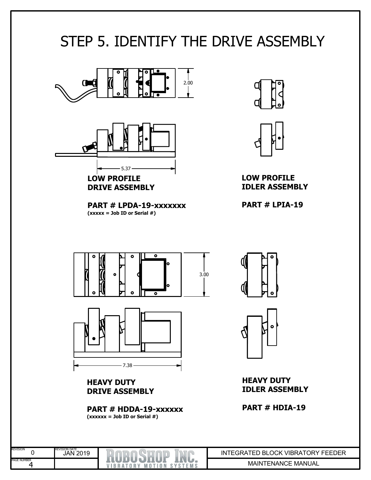### STEP 5. IDENTIFY THE DRIVE ASSEMBLY



**PART # LPDA-19-xxxxxxx**  $(xxxxx = Job ID or Serial #)$ 





**LOW PROFILE IDLER ASSEMBLY**

**PART # LPIA-19**



**PART # HDDA-19-xxxxxx (xxxxxx <sup>=</sup> Job ID or Serial #)**

VIBRATORY MOTION SYSTEMS

0 .<br>4 PAGE NUMBER

REVISION

REVISION DATE JAN 2019





**HEAVY DUTY IDLER ASSEMBLY**

**PART # HDIA-19**

MAINTENANCE MANUAL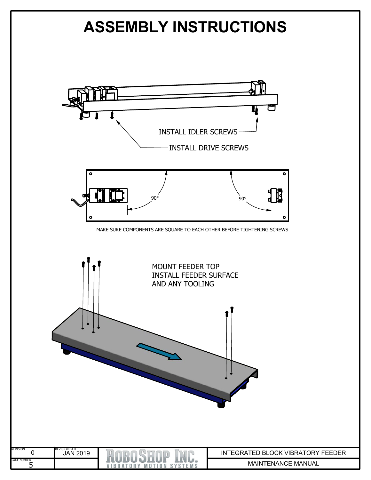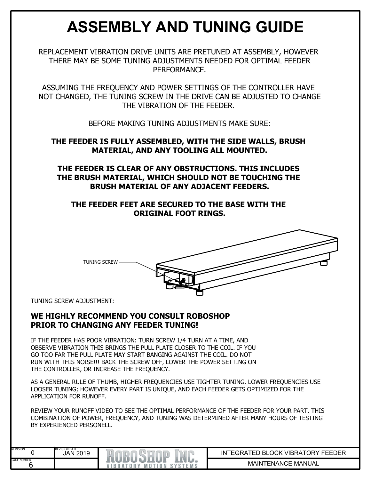## **ASSEMBLY AND TUNING GUIDE**

REPLACEMENT VIBRATION DRIVE UNITS ARE PRETUNED AT ASSEMBLY, HOWEVER THERE MAY BE SOME TUNING ADJUSTMENTS NEEDED FOR OPTIMAL FEEDER PERFORMANCE.

ASSUMING THE FREQUENCY AND POWER SETTINGS OF THE CONTROLLER HAVE NOT CHANGED, THE TUNING SCREW IN THE DRIVE CAN BE ADJUSTED TO CHANGE THE VIBRATION OF THE FEEDER.

BEFORE MAKING TUNING ADJUSTMENTS MAKE SURE:

#### **THE FEEDER IS FULLY ASSEMBLED, WITH THE SIDE WALLS, BRUSH MATERIAL, AND ANY TOOLING ALL MOUNTED.**

**THE FEEDER IS CLEAR OF ANY OBSTRUCTIONS. THIS INCLUDES THE BRUSH MATERIAL, WHICH SHOULD NOT BE TOUCHING THE BRUSH MATERIAL OF ANY ADJACENT FEEDERS.**

#### **THE FEEDER FEET ARE SECURED TO THE BASE WITH THE ORIGINAL FOOT RINGS.**



TUNING SCREW ADJUSTMENT:

#### **WE HIGHLY RECOMMEND YOU CONSULT ROBOSHOP PRIOR TO CHANGING ANY FEEDER TUNING!**

IF THE FEEDER HAS POOR VIBRATION: TURN SCREW 1/4 TURN AT A TIME, AND OBSERVE VIBRATION THIS BRINGS THE PULL PLATE CLOSER TO THE COIL. IF YOU GO TOO FAR THE PULL PLATE MAY START BANGING AGAINST THE COIL. DO NOT RUN WITH THIS NOISE!!! BACK THE SCREW OFF, LOWER THE POWER SETTING ON THE CONTROLLER, OR INCREASE THE FREQUENCY.

AS A GENERAL RULE OF THUMB, HIGHER FREQUENCIES USE TIGHTER TUNING. LOWER FREQUENCIES USE LOOSER TUNING; HOWEVER EVERY PART IS UNIQUE, AND EACH FEEDER GETS OPTIMIZED FOR THE APPLICATION FOR RUNOFF.

REVIEW YOUR RUNOFF VIDEO TO SEE THE OPTIMAL PERFORMANCE OF THE FEEDER FOR YOUR PART. THIS COMBINATION OF POWER, FREQUENCY, AND TUNING WAS DETERMINED AFTER MANY HOURS OF TESTING BY EXPERIENCED PERSONELL.

| <b>REVISION</b>    | <b>REVISION DATE</b><br>2019<br>JAN |                                              | <b>INTEGRATED</b><br><b>VIBRATORY FEEDER</b><br><b>BLOCK</b> |
|--------------------|-------------------------------------|----------------------------------------------|--------------------------------------------------------------|
| <b>PAGE NUMBER</b> |                                     | m<br>$\mathbf{0}$<br>$M$ O $T$<br>R A<br>0 R | ™ MANUAL<br><b>MAINTENANCE</b>                               |